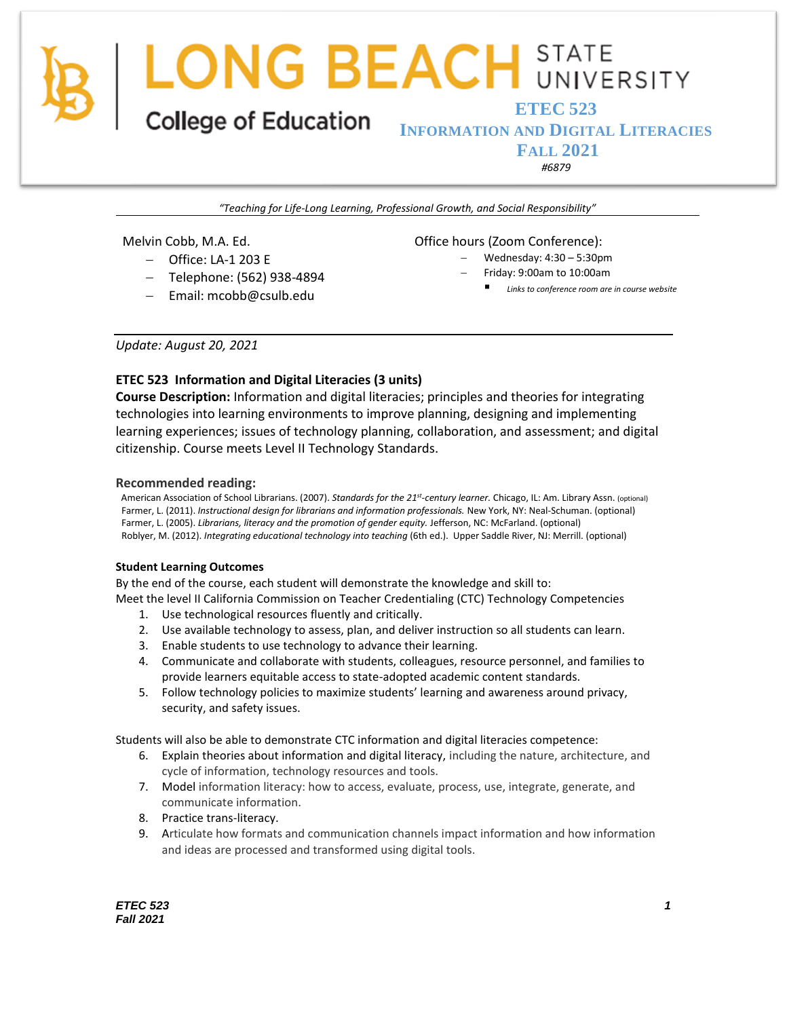**ETEC 523 INFORMATION AND DIGITAL LITERACIES FALL 2021**

*#6879*

*"Teaching for Life-Long Learning, Professional Growth, and Social Responsibility"*

Melvin Cobb, M.A. Ed.

- − Office: LA-1 203 E
- − Telephone: (562) 938-4894
- − Email: mcobb@csulb.edu

Office hours (Zoom Conference):

- − Wednesday: 4:30 5:30pm
- − Friday: 9:00am to 10:00am
	- Links to conference room are in course website

*Update: August 20, 2021*

## **ETEC 523 Information and Digital Literacies (3 units)**

**Course Description:** Information and digital literacies; principles and theories for integrating technologies into learning environments to improve planning, designing and implementing learning experiences; issues of technology planning, collaboration, and assessment; and digital citizenship. Course meets Level II Technology Standards.

## **Recommended reading:**

American Association of School Librarians. (2007). *Standards for the 21st -century learner.* Chicago, IL: Am. Library Assn. (optional) Farmer, L. (2011). *Instructional design for librarians and information professionals.* New York, NY: Neal-Schuman. (optional) Farmer, L. (2005). *Librarians, literacy and the promotion of gender equity.* Jefferson, NC: McFarland. (optional) Roblyer, M. (2012). *Integrating educational technology into teaching* (6th ed.). Upper Saddle River, NJ: Merrill. (optional)

### **Student Learning Outcomes**

By the end of the course, each student will demonstrate the knowledge and skill to:

Meet the level II California Commission on Teacher Credentialing (CTC) Technology Competencies

- 1. Use technological resources fluently and critically.
- 2. Use available technology to assess, plan, and deliver instruction so all students can learn.
- 3. Enable students to use technology to advance their learning.
- 4. Communicate and collaborate with students, colleagues, resource personnel, and families to provide learners equitable access to state-adopted academic content standards.
- 5. Follow technology policies to maximize students' learning and awareness around privacy, security, and safety issues.

Students will also be able to demonstrate CTC information and digital literacies competence:

- 6. Explain theories about information and digital literacy, including the nature, architecture, and cycle of information, technology resources and tools.
- 7. Model information literacy: how to access, evaluate, process, use, integrate, generate, and communicate information.
- 8. Practice trans-literacy.
- 9. Articulate how formats and communication channels impact information and how information and ideas are processed and transformed using digital tools.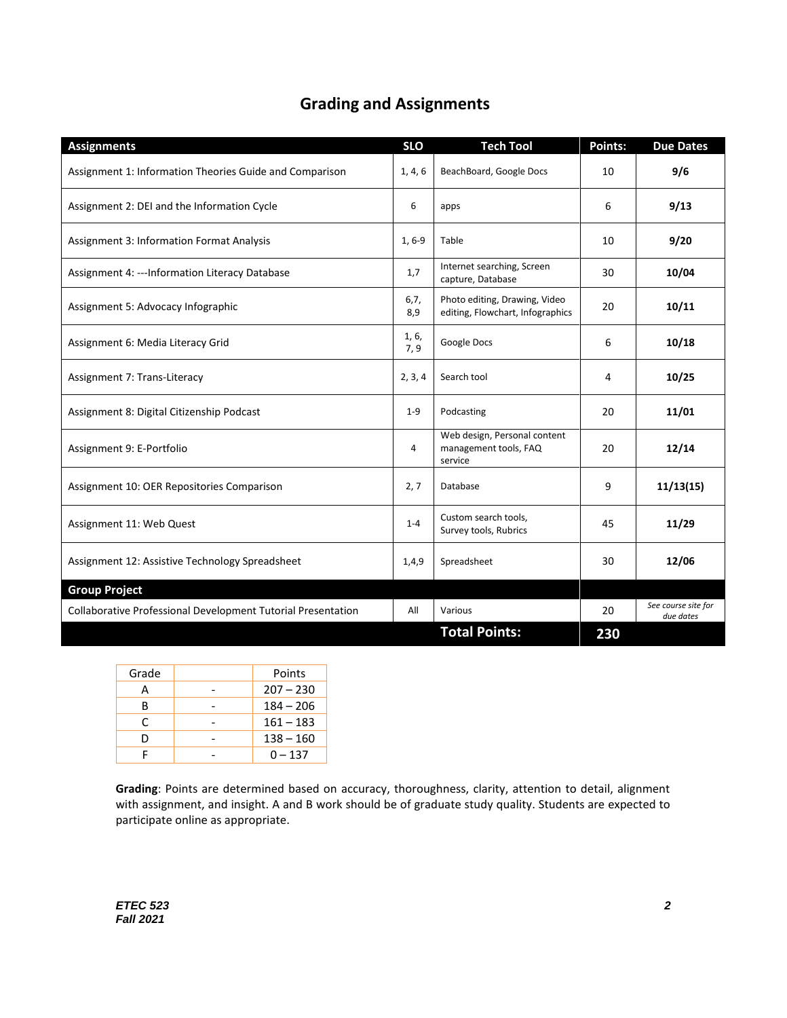## **Grading and Assignments**

| <b>Assignments</b>                                           | <b>SLO</b>   | <b>Tech Tool</b>                                                  | Points: | <b>Due Dates</b>                 |
|--------------------------------------------------------------|--------------|-------------------------------------------------------------------|---------|----------------------------------|
| Assignment 1: Information Theories Guide and Comparison      | 1, 4, 6      | BeachBoard, Google Docs                                           | 10      | 9/6                              |
| Assignment 2: DEI and the Information Cycle                  | 6            | apps                                                              | 6       | 9/13                             |
| Assignment 3: Information Format Analysis                    | $1, 6-9$     | Table                                                             | 10      | 9/20                             |
| Assignment 4: --- Information Literacy Database              | 1,7          | Internet searching, Screen<br>capture, Database                   | 30      | 10/04                            |
| Assignment 5: Advocacy Infographic                           | 6, 7,<br>8,9 | Photo editing, Drawing, Video<br>editing, Flowchart, Infographics | 20      | 10/11                            |
| Assignment 6: Media Literacy Grid                            | 1, 6,<br>7,9 | Google Docs                                                       | 6       | 10/18                            |
| Assignment 7: Trans-Literacy                                 | 2, 3, 4      | Search tool                                                       | 4       | 10/25                            |
| Assignment 8: Digital Citizenship Podcast                    | $1 - 9$      | Podcasting                                                        | 20      | 11/01                            |
| Assignment 9: E-Portfolio                                    | 4            | Web design, Personal content<br>management tools, FAQ<br>service  | 20      | 12/14                            |
| Assignment 10: OER Repositories Comparison                   | 2, 7         | Database                                                          | 9       | 11/13(15)                        |
| Assignment 11: Web Quest                                     | $1 - 4$      | Custom search tools,<br>Survey tools, Rubrics                     | 45      | 11/29                            |
| Assignment 12: Assistive Technology Spreadsheet              | 1,4,9        | Spreadsheet                                                       | 30      | 12/06                            |
| <b>Group Project</b>                                         |              |                                                                   |         |                                  |
| Collaborative Professional Development Tutorial Presentation | All          | Various                                                           | 20      | See course site for<br>due dates |
|                                                              |              | <b>Total Points:</b>                                              | 230     |                                  |

| Grade | Points      |
|-------|-------------|
| А     | $207 - 230$ |
| B     | $184 - 206$ |
| C     | $161 - 183$ |
| D     | $138 - 160$ |
|       | $0 - 137$   |

**Grading**: Points are determined based on accuracy, thoroughness, clarity, attention to detail, alignment with assignment, and insight. A and B work should be of graduate study quality. Students are expected to participate online as appropriate.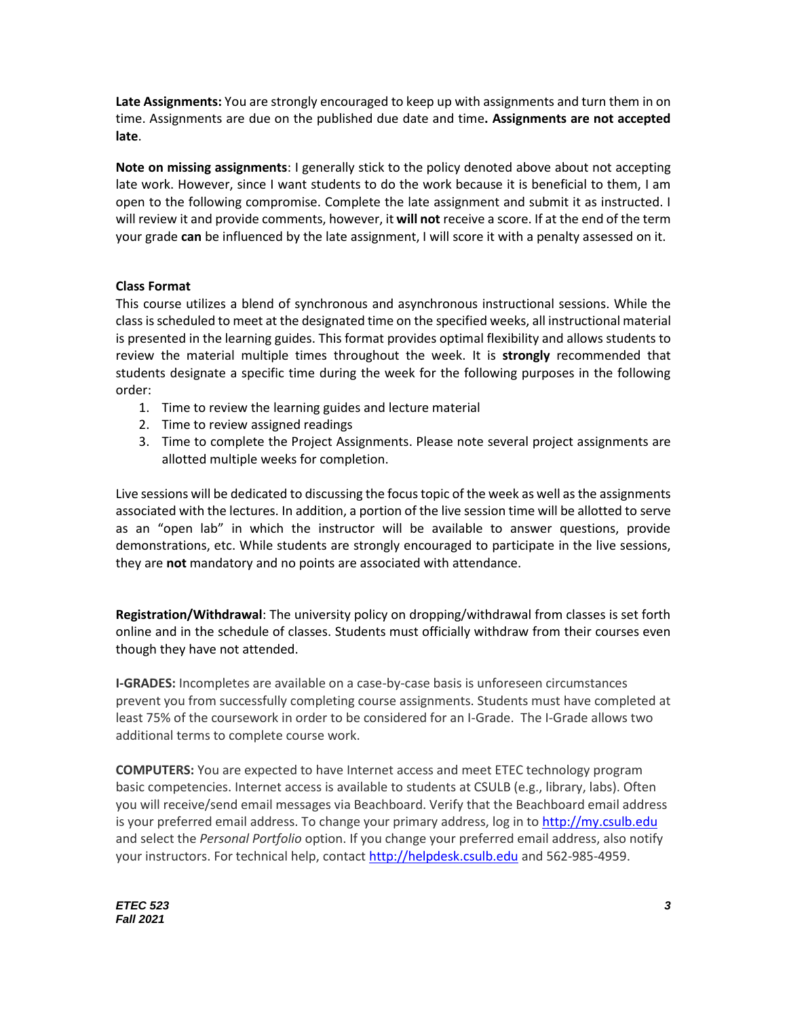**Late Assignments:** You are strongly encouraged to keep up with assignments and turn them in on time. Assignments are due on the published due date and time**. Assignments are not accepted late**.

**Note on missing assignments**: I generally stick to the policy denoted above about not accepting late work. However, since I want students to do the work because it is beneficial to them, I am open to the following compromise. Complete the late assignment and submit it as instructed. I will review it and provide comments, however, it **will not** receive a score. If at the end of the term your grade **can** be influenced by the late assignment, I will score it with a penalty assessed on it.

## **Class Format**

This course utilizes a blend of synchronous and asynchronous instructional sessions. While the class is scheduled to meet at the designated time on the specified weeks, all instructional material is presented in the learning guides. This format provides optimal flexibility and allows students to review the material multiple times throughout the week. It is **strongly** recommended that students designate a specific time during the week for the following purposes in the following order:

- 1. Time to review the learning guides and lecture material
- 2. Time to review assigned readings
- 3. Time to complete the Project Assignments. Please note several project assignments are allotted multiple weeks for completion.

Live sessions will be dedicated to discussing the focus topic of the week as well as the assignments associated with the lectures. In addition, a portion of the live session time will be allotted to serve as an "open lab" in which the instructor will be available to answer questions, provide demonstrations, etc. While students are strongly encouraged to participate in the live sessions, they are **not** mandatory and no points are associated with attendance.

**Registration/Withdrawal**: The university policy on dropping/withdrawal from classes is set forth online and in the schedule of classes. Students must officially withdraw from their courses even though they have not attended.

**I-GRADES:** Incompletes are available on a case-by-case basis is unforeseen circumstances prevent you from successfully completing course assignments. Students must have completed at least 75% of the coursework in order to be considered for an I-Grade. The I-Grade allows two additional terms to complete course work.

**COMPUTERS:** You are expected to have Internet access and meet ETEC technology program basic competencies. Internet access is available to students at CSULB (e.g., library, labs). Often you will receive/send email messages via Beachboard. Verify that the Beachboard email address is your preferred email address. To change your primary address, log in to [http://my.csulb.edu](http://my.csulb.edu/) and select the *Personal Portfolio* option. If you change your preferred email address, also notify your instructors. For technical help, contact [http://helpdesk.csulb.edu](http://helpdesk.csulb.edu/) and 562-985-4959.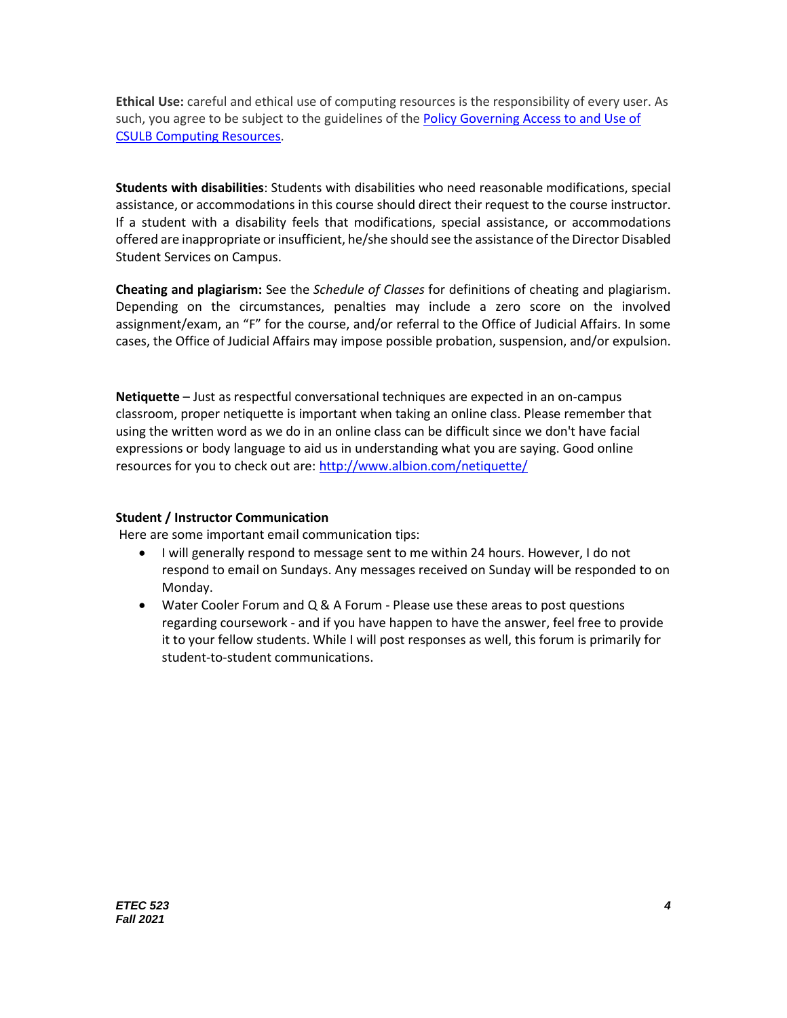**Ethical Use:** careful and ethical use of computing resources is the responsibility of every user. As such, you agree to be subject to the guidelines of the Policy Governing Access to and Use of [CSULB Computing Resources.](http://www.csulb.edu/divisions/aa/grad_undergrad/senate/documents/policy/1996/18/)

**Students with disabilities**: Students with disabilities who need reasonable modifications, special assistance, or accommodations in this course should direct their request to the course instructor. If a student with a disability feels that modifications, special assistance, or accommodations offered are inappropriate or insufficient, he/she should see the assistance of the Director Disabled Student Services on Campus.

**Cheating and plagiarism:** See the *Schedule of Classes* for definitions of cheating and plagiarism. Depending on the circumstances, penalties may include a zero score on the involved assignment/exam, an "F" for the course, and/or referral to the Office of Judicial Affairs. In some cases, the Office of Judicial Affairs may impose possible probation, suspension, and/or expulsion.

**Netiquette** – Just as respectful conversational techniques are expected in an on-campus classroom, proper netiquette is important when taking an online class. Please remember that using the written word as we do in an online class can be difficult since we don't have facial expressions or body language to aid us in understanding what you are saying. Good online resources for you to check out are:<http://www.albion.com/netiquette/>

## **Student / Instructor Communication**

Here are some important email communication tips:

- I will generally respond to message sent to me within 24 hours. However, I do not respond to email on Sundays. Any messages received on Sunday will be responded to on Monday.
- Water Cooler Forum and Q & A Forum Please use these areas to post questions regarding coursework - and if you have happen to have the answer, feel free to provide it to your fellow students. While I will post responses as well, this forum is primarily for student-to-student communications.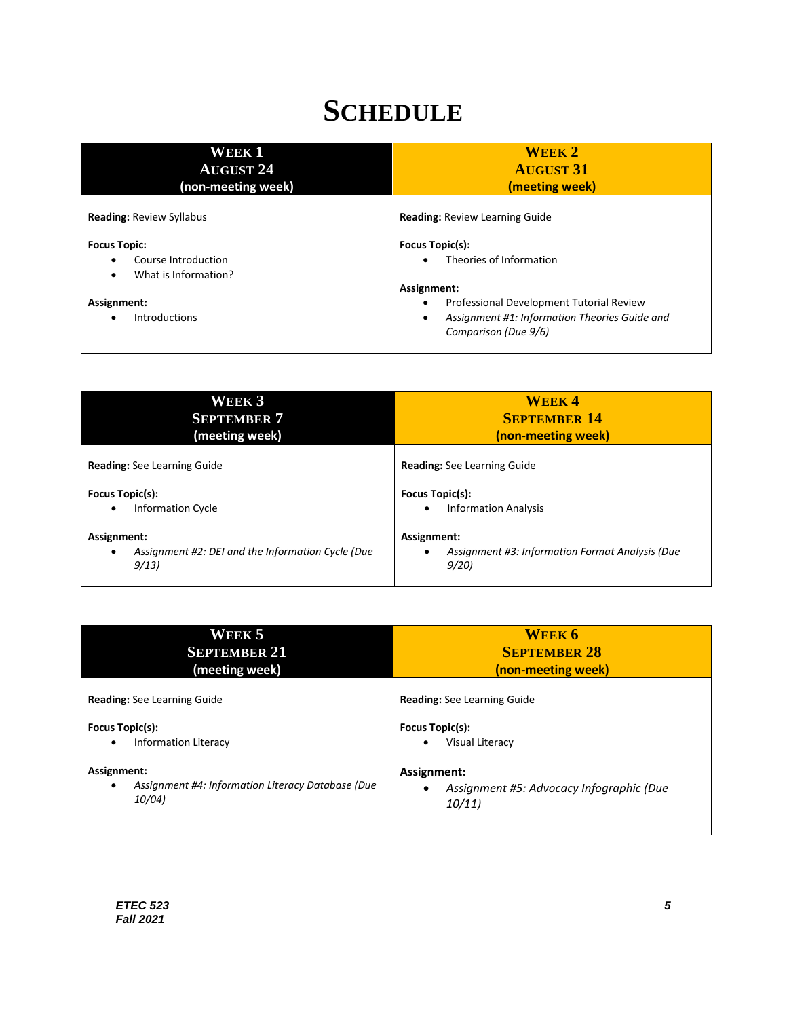# **SCHEDULE**

| <b>WEEK1</b><br><b>AUGUST 24</b><br>(non-meeting week)                  | <b>WEEK 2</b><br><b>AUGUST 31</b><br>(meeting week)                                                                                                |
|-------------------------------------------------------------------------|----------------------------------------------------------------------------------------------------------------------------------------------------|
| <b>Reading: Review Syllabus</b>                                         | <b>Reading: Review Learning Guide</b>                                                                                                              |
| <b>Focus Topic:</b><br>Course Introduction<br>What is Information?<br>٠ | Focus Topic(s):<br>Theories of Information                                                                                                         |
| Assignment:<br><b>Introductions</b>                                     | Assignment:<br>Professional Development Tutorial Review<br>$\bullet$<br>Assignment #1: Information Theories Guide and<br>٠<br>Comparison (Due 9/6) |

| <b>WEEK3</b>                                                                          | <b>WEEK4</b>                                                           |
|---------------------------------------------------------------------------------------|------------------------------------------------------------------------|
| <b>SEPTEMBER 7</b>                                                                    | <b>SEPTEMBER 14</b>                                                    |
| (meeting week)                                                                        | (non-meeting week)                                                     |
| <b>Reading:</b> See Learning Guide                                                    | <b>Reading:</b> See Learning Guide                                     |
| Focus Topic(s):                                                                       | Focus Topic(s):                                                        |
| <b>Information Cycle</b>                                                              | <b>Information Analysis</b>                                            |
| $\bullet$                                                                             | $\bullet$                                                              |
| Assignment:<br>Assignment #2: DEI and the Information Cycle (Due<br>$\bullet$<br>9/13 | Assignment:<br>Assignment #3: Information Format Analysis (Due<br>9/20 |

| WEEK 5                                                                                                                                                                       | WEEK 6                                                                                                                                                     |
|------------------------------------------------------------------------------------------------------------------------------------------------------------------------------|------------------------------------------------------------------------------------------------------------------------------------------------------------|
| <b>SEPTEMBER 21</b>                                                                                                                                                          | <b>SEPTEMBER 28</b>                                                                                                                                        |
| (meeting week)                                                                                                                                                               | (non-meeting week)                                                                                                                                         |
| <b>Reading:</b> See Learning Guide<br>Focus Topic(s):<br><b>Information Literacy</b><br>٠<br>Assignment:<br>Assignment #4: Information Literacy Database (Due<br>٠<br>10/04) | <b>Reading:</b> See Learning Guide<br>Focus Topic(s):<br>Visual Literacy<br>$\bullet$<br>Assignment:<br>Assignment #5: Advocacy Infographic (Due<br>10/11) |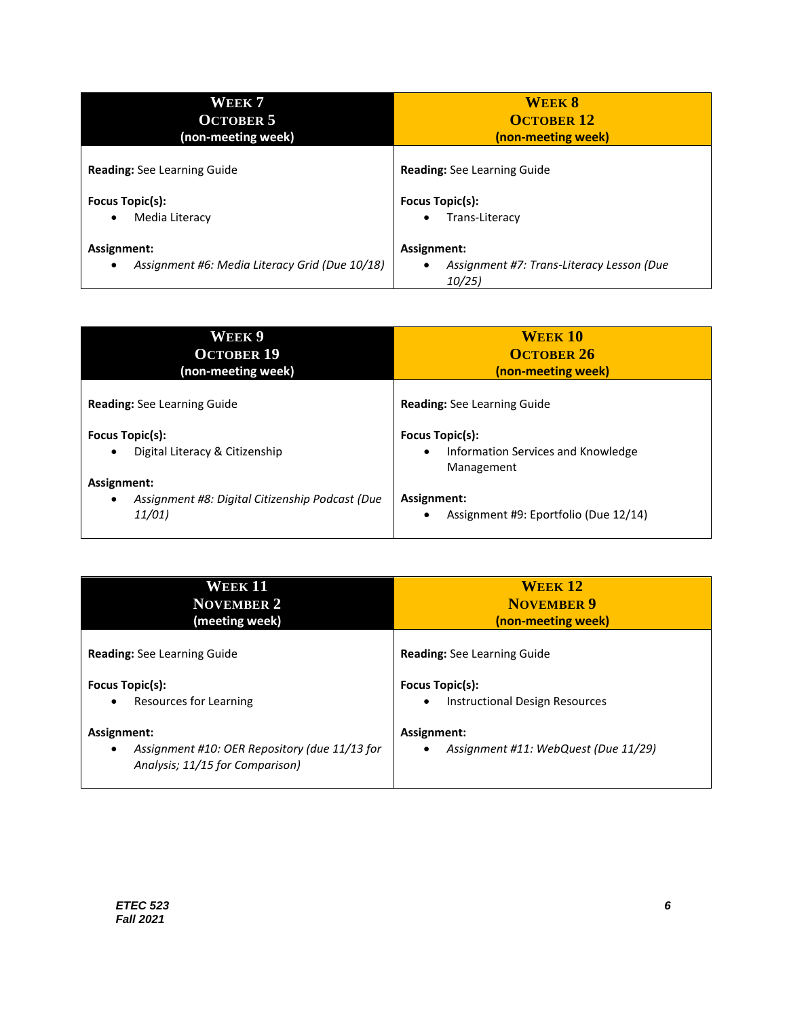| WEEK 7                                         | <b>WEEK 8</b>                             |
|------------------------------------------------|-------------------------------------------|
| <b>OCTOBER 5</b>                               | <b>OCTOBER 12</b>                         |
| (non-meeting week)                             | (non-meeting week)                        |
| <b>Reading:</b> See Learning Guide             | <b>Reading:</b> See Learning Guide        |
| Focus Topic(s):                                | Focus Topic(s):                           |
| Media Literacy                                 | Trans-Literacy                            |
| $\bullet$                                      | $\bullet$                                 |
| Assignment:                                    | Assignment:                               |
| Assignment #6: Media Literacy Grid (Due 10/18) | Assignment #7: Trans-Literacy Lesson (Due |
| $\bullet$                                      | 10/25)                                    |

| WEEK 9<br><b>OCTOBER 19</b><br>(non-meeting week)                                     | <b>WEEK 10</b><br><b>OCTOBER 26</b><br>(non-meeting week)                               |
|---------------------------------------------------------------------------------------|-----------------------------------------------------------------------------------------|
| <b>Reading:</b> See Learning Guide                                                    | <b>Reading:</b> See Learning Guide                                                      |
| Focus Topic(s):<br>Digital Literacy & Citizenship<br>$\bullet$                        | <b>Focus Topic(s):</b><br>Information Services and Knowledge<br>$\bullet$<br>Management |
| Assignment:<br>Assignment #8: Digital Citizenship Podcast (Due<br>$\bullet$<br>11/01) | Assignment:<br>Assignment #9: Eportfolio (Due 12/14)<br>$\bullet$                       |

| <b>WEEK 11</b>                                                                                       | <b>WEEK 12</b>                                                   |
|------------------------------------------------------------------------------------------------------|------------------------------------------------------------------|
| <b>NOVEMBER 2</b>                                                                                    | <b>NOVEMBER 9</b>                                                |
| (meeting week)                                                                                       | (non-meeting week)                                               |
| <b>Reading:</b> See Learning Guide                                                                   | <b>Reading:</b> See Learning Guide                               |
| Focus Topic(s):                                                                                      | Focus Topic(s):                                                  |
| Resources for Learning                                                                               | Instructional Design Resources                                   |
| $\bullet$                                                                                            | $\bullet$                                                        |
| Assignment:<br>Assignment #10: OER Repository (due 11/13 for<br>٠<br>Analysis; 11/15 for Comparison) | Assignment:<br>Assignment #11: WebQuest (Due 11/29)<br>$\bullet$ |